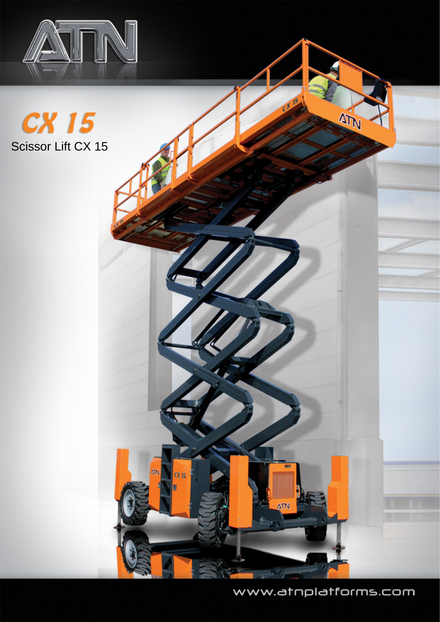





www.atnplatforms.com